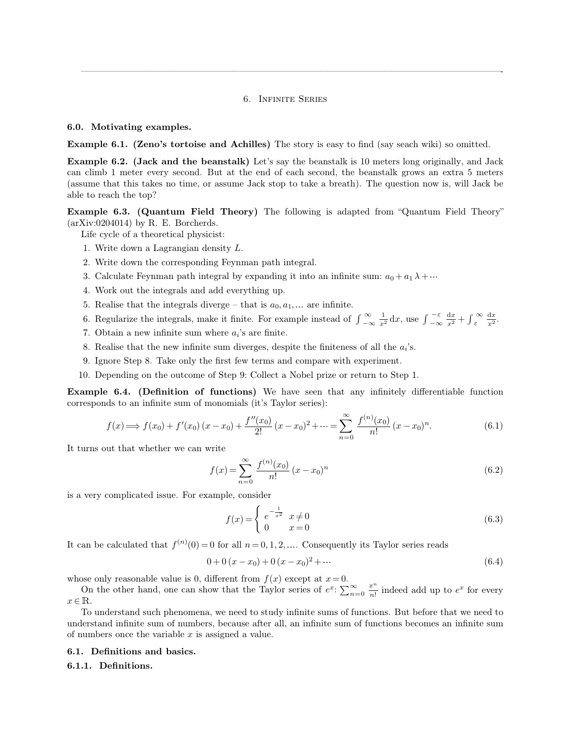### 6. Infinite Series

—————————————————————————————————————————————-

#### **6.0. Motivating examples.**

**Example 6.1. (Zeno's tortoise and Achilles)** The story is easy to find (say seach wiki) so omitted.

**Example 6.2.** (Jack and the beanstalk) Let's say the beanstalk is 10 meters long originally, and Jack can climb 1 meter every second. But at the end of each second, the beanstalk grows an extra 5 meters (assume that this takes no time, or assume Jack stop to take a breath). The question now is, will Jack be able to reach the top?

**Example 6.3. (Quantum Field Theory)** The following is adapted from "Quantum Field Theory"  $(axXiv:0204014)$  by R. E. Borcherds.

Life cycle of a theoretical physicist:

- 1. Write down a Lagrangian density L.
- 2. Write down the corresponding Feynman path integral.
- 3. Calculate Feynman path integral by expanding it into an infinite sum:  $a_0 + a_1 \lambda + \cdots$
- 4. Work out the integrals and add everything up.
- 5. Realise that the integrals diverge that is  $a_0, a_1, \ldots$  are infinite.
- 6. Regularize the integrals, make it finite. For example instead of  $\int_{-\infty}^{\infty}$  $\int_{-\infty}^{\infty} \frac{1}{x^2} dx$ , use  $\int_{-\infty}^{-\varepsilon}$  $-\varepsilon \frac{dx}{x^2} + \int_{\varepsilon}^{\infty} \frac{dx}{x^2}.$
- 7. Obtain a new infinite sum where  $a_i$ 's are finite.
- 8. Realise that the new infinite sum diverges, despite the finiteness of all the  $a_i$ 's.
- 9. Ignore Step 8. Take only the first few terms and compare with experiment.
- 10. Depending on the outcome of Step 9: Collect a Nobel prize or return to Step 1.

**Example 6.4. (Definition of functions)** We have seen that any infinitely differentiable function corresponds to an infinite sum of monomials (it's Taylor series):

$$
f(x) \Longrightarrow f(x_0) + f'(x_0)(x - x_0) + \frac{f''(x_0)}{2!}(x - x_0)^2 + \dots = \sum_{n=0}^{\infty} \frac{f^{(n)}(x_0)}{n!}(x - x_0)^n.
$$
 (6.1)

It turns out that whether we can write

$$
f(x) = \sum_{n=0}^{\infty} \frac{f^{(n)}(x_0)}{n!} (x - x_0)^n
$$
 (6.2)

is a very complicated issue. For example, consider

$$
f(x) = \begin{cases} e^{-\frac{1}{x^2}} & x \neq 0 \\ 0 & x = 0 \end{cases}
$$
 (6.3)

It can be calculated that  $f^{(n)}(0) = 0$  for all  $n = 0, 1, 2, ...$  Consequently its Taylor series reads

$$
0 + 0(x - x_0) + 0(x - x_0)^2 + \dots \tag{6.4}
$$

whose only reasonable value is 0, different from  $f(x)$  except at  $x=0$ .

On the other hand, one can show that the Taylor series of  $e^x$ :  $\sum_{n=0}^{\infty} \frac{x^n}{n!}$  $\frac{x^n}{n!}$  indeed add up to  $e^x$  for every  $x \in \mathbb{R}$ .

To understand such phenomena, we need to study infinite sums of functions. But before that we need to understand infinite sum of numbers, because after all, an infinite sum of functions becomes an infinite sum of numbers once the variable  $x$  is assigned a value.

# **6.1. Definitions and basics.**

#### **6.1.1. Definitions.**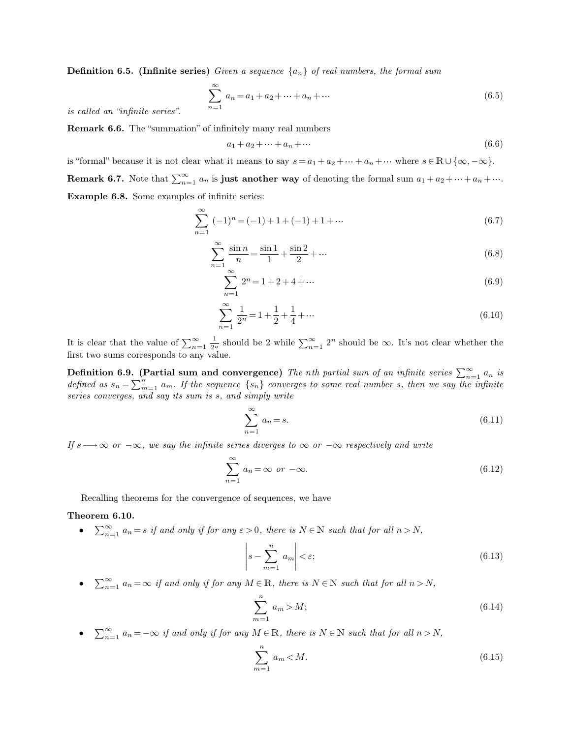**Definition 6.5. (Infinite series)** *Given a sequence* {an} *of real numbers, the formal sum*

$$
\sum_{n=1}^{\infty} a_n = a_1 + a_2 + \dots + a_n + \dots \tag{6.5}
$$

*is called an "infinite series".*

**Remark 6.6.** The "summation" of infinitely many real numbers

$$
a_1 + a_2 + \dots + a_n + \dots \tag{6.6}
$$

is "formal" because it is not clear what it means to say  $s = a_1 + a_2 + \cdots + a_n + \cdots$  where  $s \in \mathbb{R} \cup \{\infty, -\infty\}.$ **Remark 6.7.** Note that  $\sum_{n=1}^{\infty} a_n$  is **just another way** of denoting the formal sum  $a_1 + a_2 + \cdots + a_n + \cdots$ . **Example 6.8.** Some examples of infinite series:

$$
\sum_{n=1}^{\infty} (-1)^n = (-1) + 1 + (-1) + 1 + \cdots
$$
\n(6.7)

$$
\sum_{n=1}^{\infty} \frac{\sin n}{n} = \frac{\sin 1}{1} + \frac{\sin 2}{2} + \dotsb \tag{6.8}
$$

$$
\sum_{n=1}^{\infty} 2^n = 1 + 2 + 4 + \dots \tag{6.9}
$$

$$
\sum_{n=1}^{\infty} \frac{1}{2^n} = 1 + \frac{1}{2} + \frac{1}{4} + \dots \tag{6.10}
$$

It is clear that the value of  $\sum_{n=1}^{\infty} \frac{1}{2^n}$  should be 2 while  $\sum_{n=1}^{\infty} 2^n$  should be  $\infty$ . It's not clear whether the first two sums corresponds to any value.

**Definition 6.9.** (Partial sum and convergence) The nth partial sum of an infinite series  $\sum_{n=1}^{\infty} a_n$  is *defined as*  $s_n = \sum_{m=1}^n$  $\sum_{m=1}^{n} a_m$ . If the sequence  $\{s_n\}$  converges to some real number s, then we say the infinite *series converges, and say its sum is* s*, and simply write*

$$
\sum_{n=1}^{\infty} a_n = s.
$$
\n(6.11)

*If*  $s \rightarrow \infty$  *or*  $-\infty$ *, we say the infinite series diverges to*  $\infty$  *or*  $-\infty$  *respectively and write* 

$$
\sum_{n=1}^{\infty} a_n = \infty \text{ or } -\infty.
$$
 (6.12)

Recalling theorems for the convergence of sequences, we have

#### **Theorem 6.10.**

•  $\sum_{n=1}^{\infty} a_n = s$  *if and only if for any*  $\varepsilon > 0$ *, there is*  $N \in \mathbb{N}$  *such that for all*  $n > N$ *,* 

$$
\left| s - \sum_{m=1}^{n} a_m \right| < \varepsilon; \tag{6.13}
$$

•  $\sum_{n=1}^{\infty} a_n = \infty$  *if and only if for any*  $M \in \mathbb{R}$ *, there is*  $N \in \mathbb{N}$  *such that for all*  $n > N$ *,* 

$$
\sum_{m=1}^{n} a_m > M; \tag{6.14}
$$

•  $\sum_{n=1}^{\infty} a_n = -\infty$  *if and only if for any*  $M \in \mathbb{R}$ *, there is*  $N \in \mathbb{N}$  *such that for all*  $n > N$ *,* 

$$
\sum_{m=1}^{n} a_m < M. \tag{6.15}
$$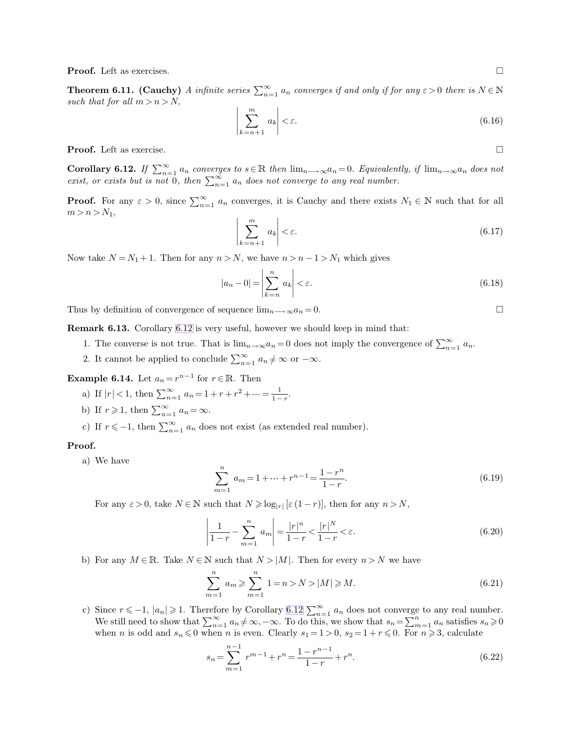**Proof.** Left as exercises.

**Theorem 6.11.** (Cauchy) *A infinite series*  $\sum_{n=1}^{\infty} a_n$  *converges if and only if for any*  $\varepsilon > 0$  *there is*  $N \in \mathbb{N}$ such that for all  $m > n > N$ ,

<span id="page-2-0"></span>
$$
\left|\sum_{k=n+1}^{m} a_k\right| < \varepsilon. \tag{6.16}
$$

**Proof.** Left as exercise. □

**Corollary 6.12.** *If*  $\sum_{n=1}^{\infty} a_n$  converges to  $s \in \mathbb{R}$  then  $\lim_{n \to \infty} a_n = 0$ . Equivalently, if  $\lim_{n \to \infty} a_n$  does not *exist, or exists but is not* 0, then  $\sum_{n=1}^{\infty} a_n$  does not converge to any real number.

**Proof.** For any  $\varepsilon > 0$ , since  $\sum_{n=1}^{\infty} a_n$  converges, it is Cauchy and there exists  $N_1 \in \mathbb{N}$  such that for all  $m > n > N_1,$  $\overline{\phantom{a}}$ 

$$
\left|\sum_{k=n+1}^{m} a_k\right| < \varepsilon. \tag{6.17}
$$

Now take  $N = N_1 + 1$ . Then for any  $n > N$ , we have  $n > n - 1 > N_1$  which gives

$$
|a_n - 0| = \left| \sum_{k=n}^n a_k \right| < \varepsilon. \tag{6.18}
$$

Thus by definition of convergence of sequence  $\lim_{n\to\infty} a_n = 0$ .

**Remark 6.13.** Corollary [6.12](#page-2-0) is very useful, however we should keep in mind that:

- 1. The converse is not true. That is  $\lim_{n\to\infty} a_n = 0$  does not imply the convergence of  $\sum_{n=1}^{\infty} a_n$ .
- 2. It cannot be applied to conclude  $\sum_{n=1}^{\infty} a_n \neq \infty$  or  $-\infty$ .

**Example 6.14.** Let  $a_n = r^{n-1}$  for  $r \in \mathbb{R}$ . Then

- a) If  $|r| < 1$ , then  $\sum_{n=1}^{\infty} a_n = 1 + r + r^2 + \dots = \frac{1}{1-r}$  $\frac{1}{1-r}$ .
- b) If  $r \geqslant 1$ , then  $\sum_{n=1}^{\infty} a_n = \infty$ .
- c) If  $r \le -1$ , then  $\sum_{n=1}^{\infty} a_n$  does not exist (as extended real number).

### **Proof.**

a) We have

<span id="page-2-1"></span>
$$
\sum_{m=1}^{n} a_m = 1 + \dots + r^{n-1} = \frac{1 - r^n}{1 - r}.
$$
\n(6.19)

For any  $\varepsilon > 0$ , take  $N \in \mathbb{N}$  such that  $N \geqslant \log_{|r|}[\varepsilon(1-r)]$ , then for any  $n > N$ ,

$$
\left|\frac{1}{1-r} - \sum_{m=1}^{n} a_m\right| = \frac{|r|^n}{1-r} < \frac{|r|^N}{1-r} < \varepsilon. \tag{6.20}
$$

b) For any  $M \in \mathbb{R}$ . Take  $N \in \mathbb{N}$  such that  $N > |M|$ . Then for every  $n > N$  we have

$$
\sum_{m=1}^{n} a_m \ge \sum_{m=1}^{n} 1 = n > N > |M| \ge M.
$$
\n(6.21)

c) Since  $r \leq -1$ ,  $|a_n| \geqslant 1$ . Therefore by Corollary [6.12](#page-2-0)  $\sum_{n=1}^{\infty} a_n$  does not converge to any real number. We still need to show that  $\sum_{n=1}^{\infty} a_n \neq \infty, -\infty$ . To do this, we show that  $s_n = \sum_{m=1}^n a_m$  $\sum_{m=1}^{n} a_n$  satisfies  $s_n \geqslant 0$ when *n* is odd and  $s_n \leq 0$  when *n* is even. Clearly  $s_1 = 1 > 0$ ,  $s_2 = 1 + r \leq 0$ . For  $n \geq 3$ , calculate

$$
s_n = \sum_{m=1}^{n-1} r^{m-1} + r^n = \frac{1 - r^{n-1}}{1 - r} + r^n.
$$
\n(6.22)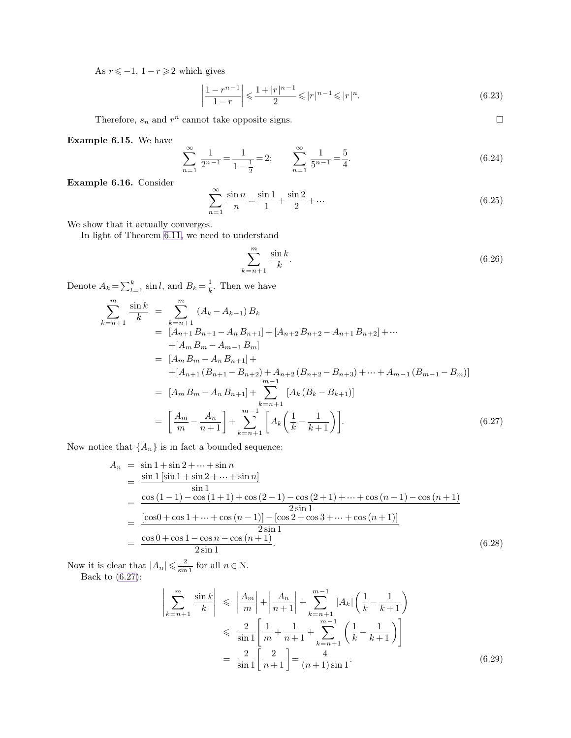As  $r \leq -1$ ,  $1 - r \geq 2$  which gives

<span id="page-3-0"></span>
$$
\left|\frac{1-r^{n-1}}{1-r}\right| \leqslant \frac{1+|r|^{n-1}}{2} \leqslant |r|^{n-1} \leqslant |r|^{n}.
$$
\n(6.23)

Therefore,  $s_n$  and  $r^n$  cannot take opposite signs.

**Example 6.15.** We have

$$
\sum_{n=1}^{\infty} \frac{1}{2^{n-1}} = \frac{1}{1 - \frac{1}{2}} = 2; \qquad \sum_{n=1}^{\infty} \frac{1}{5^{n-1}} = \frac{5}{4}.
$$
 (6.24)

**Example 6.16.** Consider

$$
\sum_{n=1}^{\infty} \frac{\sin n}{n} = \frac{\sin 1}{1} + \frac{\sin 2}{2} + \dotsb \tag{6.25}
$$

We show that it actually converges.

In light of Theorem [6.11,](#page-2-1) we need to understand

$$
\sum_{k=n+1}^{m} \frac{\sin k}{k}.\tag{6.26}
$$

Denote  $A_k = \sum_{l=1}^k$  $\frac{k}{l-1}$  sin l, and  $B_k = \frac{1}{k}$  $\frac{1}{k}$ . Then we have

$$
\sum_{k=n+1}^{m} \frac{\sin k}{k} = \sum_{k=n+1}^{m} (A_k - A_{k-1}) B_k
$$
  
=  $[A_{n+1} B_{n+1} - A_n B_{n+1}] + [A_{n+2} B_{n+2} - A_{n+1} B_{n+2}] + \cdots$   
+  $[A_m B_m - A_{m-1} B_m]$   
=  $[A_m B_m - A_n B_{n+1}] +$   
+  $[A_{n+1} (B_{n+1} - B_{n+2}) + A_{n+2} (B_{n+2} - B_{n+3}) + \cdots + A_{m-1} (B_{m-1} - B_m)]$   
=  $[A_m B_m - A_n B_{n+1}] + \sum_{k=n+1}^{m-1} [A_k (B_k - B_{k+1})]$   
=  $\left[ \frac{A_m}{m} - \frac{A_n}{n+1} \right] + \sum_{k=n+1}^{m-1} [A_k \left( \frac{1}{k} - \frac{1}{k+1} \right)].$  (6.27)

Now notice that  $\{A_n\}$  is in fact a bounded sequence:

$$
A_n = \sin 1 + \sin 2 + \dots + \sin n
$$
  
= 
$$
\frac{\sin 1 [\sin 1 + \sin 2 + \dots + \sin n]}{\sin 1}
$$
  
= 
$$
\frac{\cos (1 - 1) - \cos (1 + 1) + \cos (2 - 1) - \cos (2 + 1) + \dots + \cos (n - 1) - \cos (n + 1)}{2 \sin 1}
$$
  
= 
$$
\frac{[\cos 0 + \cos 1 + \dots + \cos (n - 1)] - [\cos 2 + \cos 3 + \dots + \cos (n + 1)]}{2 \sin 1}
$$
  
= 
$$
\frac{\cos 0 + \cos 1 - \cos n - \cos (n + 1)}{2 \sin 1}
$$
. (6.28)

Now it is clear that  $|A_n| \leqslant \frac{2}{\sin \theta}$  $\frac{2}{\sin 1}$  for all  $n \in \mathbb{N}$ . Back to [\(6.27\)](#page-3-0):

$$
\left| \sum_{k=n+1}^{m} \frac{\sin k}{k} \right| \leq \left| \frac{A_m}{m} \right| + \left| \frac{A_n}{n+1} \right| + \sum_{k=n+1}^{m-1} |A_k| \left( \frac{1}{k} - \frac{1}{k+1} \right)
$$
  

$$
\leq \frac{2}{\sin 1} \left[ \frac{1}{m} + \frac{1}{n+1} + \sum_{k=n+1}^{m-1} \left( \frac{1}{k} - \frac{1}{k+1} \right) \right]
$$
  

$$
= \frac{2}{\sin 1} \left[ \frac{2}{n+1} \right] = \frac{4}{(n+1)\sin 1}.
$$
 (6.29)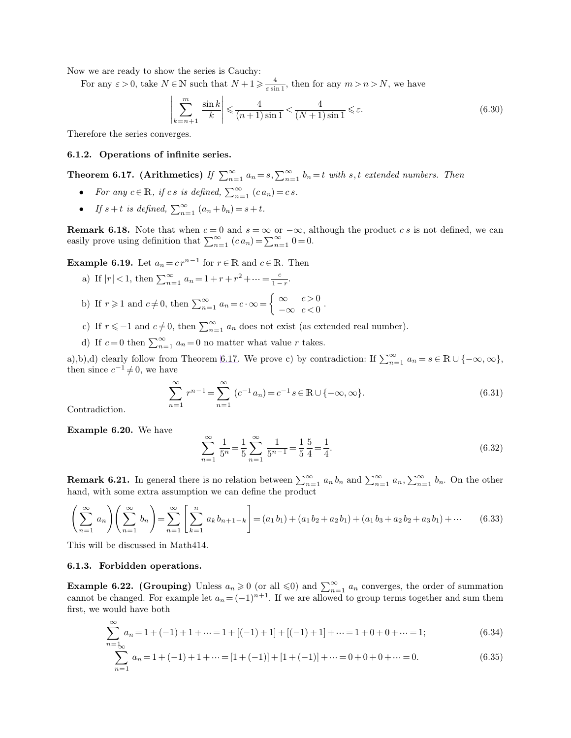Now we are ready to show the series is Cauchy:

For any  $\varepsilon > 0$ , take  $N \in \mathbb{N}$  such that  $N + 1 \geqslant \frac{4}{\varepsilon \sin \theta}$  $\frac{4}{\varepsilon \sin 1}$ , then for any  $m > n > N$ , we have

<span id="page-4-0"></span>
$$
\left|\sum_{k=n+1}^{m} \frac{\sin k}{k}\right| \leqslant \frac{4}{(n+1)\sin 1} < \frac{4}{(N+1)\sin 1} \leqslant \varepsilon. \tag{6.30}
$$

Therefore the series converges.

### **6.1.2. Operations of infinite series.**

**Theorem 6.17.** (Arithmetics) If  $\sum_{n=1}^{\infty} a_n = s$ ,  $\sum_{n=1}^{\infty} b_n = t$  with s, t extended numbers. Then

- For any  $c \in \mathbb{R}$ , if cs is defined,  $\sum_{n=1}^{\infty} (ca_n) = cs$ .
- If  $s + t$  is defined,  $\sum_{n=1}^{\infty} (a_n + b_n) = s + t$ .

**Remark 6.18.** Note that when  $c = 0$  and  $s = \infty$  or  $-\infty$ , although the product c s is not defined, we can easily prove using definition that  $\sum_{n=1}^{\infty} (ca_n) = \sum_{n=1}^{\infty} 0 = 0.$ 

**Example 6.19.** Let  $a_n = c r^{n-1}$  for  $r \in \mathbb{R}$  and  $c \in \mathbb{R}$ . Then

- a) If  $|r| < 1$ , then  $\sum_{n=1}^{\infty} a_n = 1 + r + r^2 + \dots = \frac{c}{1-r}$  $\frac{c}{1-r}$ .
- b) If  $r \geq 1$  and  $c \neq 0$ , then  $\sum_{n=1}^{\infty} a_n = c \cdot \infty = \begin{cases} \infty & c > 0 \\ -\infty & c < 0 \end{cases}$  $-\infty$   $c < 0$ .
- c) If  $r \le -1$  and  $c \ne 0$ , then  $\sum_{n=1}^{\infty} a_n$  does not exist (as extended real number).
- d) If  $c=0$  then  $\sum_{n=1}^{\infty} a_n = 0$  no matter what value r takes.

a),b),d) clearly follow from Theorem [6.17.](#page-4-0) We prove c) by contradiction: If  $\sum_{n=1}^{\infty} a_n = s \in \mathbb{R} \cup \{-\infty, \infty\}$ , then since  $c^{-1} \neq 0$ , we have

$$
\sum_{n=1}^{\infty} r^{n-1} = \sum_{n=1}^{\infty} (c^{-1} a_n) = c^{-1} s \in \mathbb{R} \cup \{-\infty, \infty\}.
$$
 (6.31)

Contradiction.

**Example 6.20.** We have

$$
\sum_{n=1}^{\infty} \frac{1}{5^n} = \frac{1}{5} \sum_{n=1}^{\infty} \frac{1}{5^{n-1}} = \frac{1}{5} \frac{5}{4} = \frac{1}{4}.
$$
 (6.32)

**Remark 6.21.** In general there is no relation between  $\sum_{n=1}^{\infty} a_n b_n$  and  $\sum_{n=1}^{\infty} a_n, \sum_{n=1}^{\infty} b_n$ . On the other hand, with some extra assumption we can define the product

$$
\left(\sum_{n=1}^{\infty} a_n\right)\left(\sum_{n=1}^{\infty} b_n\right) = \sum_{n=1}^{\infty} \left[\sum_{k=1}^{n} a_k b_{n+1-k}\right] = (a_1 b_1) + (a_1 b_2 + a_2 b_1) + (a_1 b_3 + a_2 b_2 + a_3 b_1) + \cdots \tag{6.33}
$$

This will be discussed in Math414.

## **6.1.3. Forbidden operations.**

**Example 6.22. (Grouping)** Unless  $a_n \ge 0$  (or all  $\le 0$ ) and  $\sum_{n=1}^{\infty} a_n$  converges, the order of summation cannot be changed. For example let  $a_n = (-1)^{n+1}$ . If we are allowed to group terms together and sum them first, we would have both

$$
\sum_{n=k_{\text{O}}}^{\infty} a_n = 1 + (-1) + 1 + \dots = 1 + [(-1) + 1] + [(-1) + 1] + \dots = 1 + 0 + 0 + \dots = 1; \tag{6.34}
$$

$$
\sum_{n=1}^{\infty} a_n = 1 + (-1) + 1 + \dots = [1 + (-1)] + [1 + (-1)] + \dots = 0 + 0 + 0 + \dots = 0.
$$
 (6.35)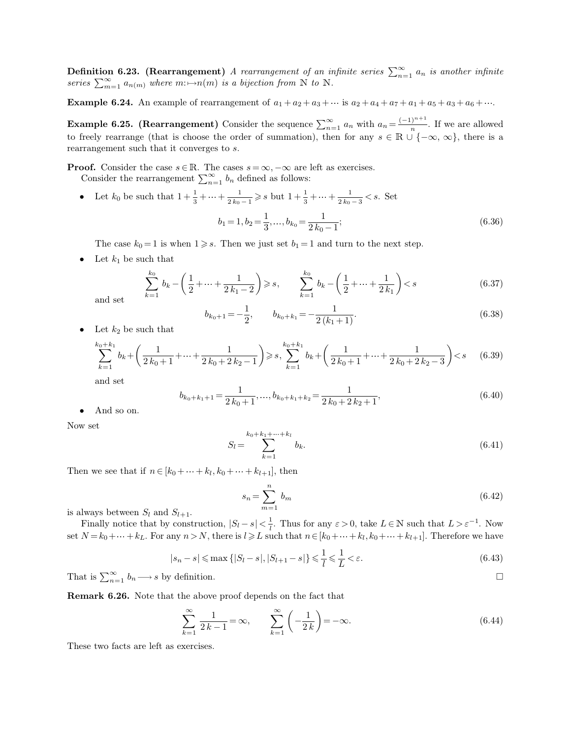**Definition 6.23. (Rearrangement)** *A rearrangement of an infinite series*  $\sum_{n=1}^{\infty} a_n$  *is another infinite* series  $\sum_{m=1}^{\infty} a_{n(m)}$  where  $m : \rightarrow n(m)$  *is a bijection from* N *to* N.

**Example 6.24.** An example of rearrangement of  $a_1 + a_2 + a_3 + \cdots$  is  $a_2 + a_4 + a_7 + a_1 + a_5 + a_3 + a_6 + \cdots$ .

**Example 6.25. (Rearrangement)** Consider the sequence  $\sum_{n=1}^{\infty} a_n$  with  $a_n = \frac{(-1)^{n+1}}{n}$ . If we are allowed to freely rearrange (that is choose the order of summation), then for any  $s \in \mathbb{R} \cup \{-\infty, \infty\}$ , there is a rearrangement such that it converges to s.

**Proof.** Consider the case  $s \in \mathbb{R}$ . The cases  $s = \infty, -\infty$  are left as exercises. Consider the rearrangement  $\sum_{n=1}^{\infty} b_n$  defined as follows:

• Let  $k_0$  be such that  $1 + \frac{1}{3} + \dots + \frac{1}{2k_0}$  $\frac{1}{2k_0-1} \geq s$  but  $1+\frac{1}{3}+\cdots+\frac{1}{2k_0}$  $\frac{1}{2k_0-3} < s$ . Set  $b_1 = 1, b_2 = \frac{1}{2}$  $\frac{1}{3}, \ldots, b_{k_0} = \frac{1}{2 k_0}$  $2k_0-1$  $(6.36)$ 

The case  $k_0 = 1$  is when  $1 \ge s$ . Then we just set  $b_1 = 1$  and turn to the next step.

• Let  $k_1$  be such that

$$
\sum_{k=1}^{k_0} b_k - \left(\frac{1}{2} + \dots + \frac{1}{2k_1 - 2}\right) \ge s, \qquad \sum_{k=1}^{k_0} b_k - \left(\frac{1}{2} + \dots + \frac{1}{2k_1}\right) < s \tag{6.37}
$$

and set

<span id="page-5-0"></span>
$$
b_{k_0+1} = -\frac{1}{2}, \qquad b_{k_0+k_1} = -\frac{1}{2(k_1+1)}.
$$
\n(6.38)

• Let  $k_2$  be such that

$$
\sum_{k=1}^{k_0+k_1} b_k + \left(\frac{1}{2k_0+1} + \dots + \frac{1}{2k_0+2k_2-1}\right) \ge s, \sum_{k=1}^{k_0+k_1} b_k + \left(\frac{1}{2k_0+1} + \dots + \frac{1}{2k_0+2k_2-3}\right) < s \tag{6.39}
$$

and set

$$
b_{k_0+k_1+1} = \frac{1}{2k_0+1}, \dots, b_{k_0+k_1+k_2} = \frac{1}{2k_0+2k_2+1}, \tag{6.40}
$$

• And so on.

Now set

$$
S_l = \sum_{k=1}^{k_0 + k_1 + \dots + k_l} b_k.
$$
 (6.41)

Then we see that if  $n \in [k_0 + \dots + k_l, k_0 + \dots + k_{l+1}],$  then

$$
s_n = \sum_{m=1}^n b_m \tag{6.42}
$$

is always between  $S_l$  and  $S_{l+1}$ .

Finally notice that by construction,  $|S_l - s| < \frac{1}{l}$  $\frac{1}{l}$ . Thus for any  $\varepsilon > 0$ , take  $L \in \mathbb{N}$  such that  $L > \varepsilon^{-1}$ . Now set  $N = k_0 + \dots + k_L$ . For any  $n > N$ , there is  $l \geq L$  such that  $n \in [k_0 + \dots + k_l, k_0 + \dots + k_{l+1}]$ . Therefore we have

$$
|s_n - s| \le \max\left\{|S_l - s|, |S_{l+1} - s|\right\} \le \frac{1}{l} \le \frac{1}{L} < \varepsilon. \tag{6.43}
$$

That is  $\sum_{n=1}^{\infty} b_n \longrightarrow s$  by definition.

**Remark 6.26.** Note that the above proof depends on the fact that

$$
\sum_{k=1}^{\infty} \frac{1}{2k-1} = \infty, \qquad \sum_{k=1}^{\infty} \left( -\frac{1}{2k} \right) = -\infty.
$$
 (6.44)

These two facts are left as exercises.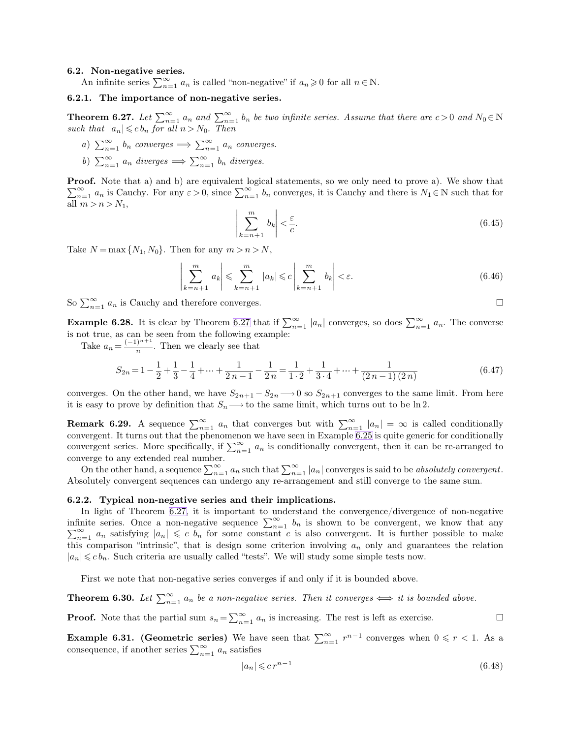## <span id="page-6-1"></span>**6.2. Non-negative series.**

An infinite series  $\sum_{n=1}^{\infty} a_n$  is called "non-negative" if  $a_n \ge 0$  for all  $n \in \mathbb{N}$ .

 $\overline{\phantom{a}}$ I  $\overline{\phantom{a}}$  $\overline{\phantom{a}}$  $\overline{\phantom{a}}$ 

# **6.2.1. The importance of non-negative series.**

**Theorem 6.27.** Let  $\sum_{n=1}^{\infty} a_n$  and  $\sum_{n=1}^{\infty} b_n$  be two infinite series. Assume that there are  $c > 0$  and  $N_0 \in \mathbb{N}$ *such that*  $|a_n| \leq c b_n$  *for all*  $n > N_0$ *. Then* 

*a*)  $\sum_{n=1}^{\infty} b_n$  *converges*  $\implies \sum_{n=1}^{\infty} a_n$  *converges.* b)  $\sum_{n=1}^{\infty} a_n$  *diverges*  $\implies \sum_{n=1}^{\infty} b_n$  *diverges.* 

**Proof.** Note that a) and b) are equivalent logical statements, so we only need to prove a). We show that  $\sum_{n=1}^{\infty} a_n$  is Cauchy. For any  $\varepsilon > 0$ , since  $\sum_{n=1}^{\infty} b_n$  converges, it is Cauchy and there is  $N_1 \in \mathbb{N}$  such that for all  $m > n > N_1$ ,

<span id="page-6-0"></span>
$$
\sum_{k=n+1}^{m} b_k \left| < \frac{\varepsilon}{c}.\tag{6.45}
$$

Take  $N = \max\{N_1, N_0\}$ . Then for any  $m > n > N$ ,

$$
\left|\sum_{k=n+1}^{m} a_k\right| \leqslant \sum_{k=n+1}^{m} |a_k| \leqslant c \left|\sum_{k=n+1}^{m} b_k\right| < \varepsilon. \tag{6.46}
$$

So  $\sum_{n=1}^{\infty} a_n$  is Cauchy and therefore converges.

**Example 6.28.** It is clear by Theorem [6.27](#page-6-0) that if  $\sum_{n=1}^{\infty} |a_n|$  converges, so does  $\sum_{n=1}^{\infty} a_n$ . The converse is not true, as can be seen from the following example:

Take  $a_n = \frac{(-1)^{n+1}}{n}$ . Then we clearly see that

$$
S_{2n} = 1 - \frac{1}{2} + \frac{1}{3} - \frac{1}{4} + \dots + \frac{1}{2n - 1} - \frac{1}{2n} = \frac{1}{1 \cdot 2} + \frac{1}{3 \cdot 4} + \dots + \frac{1}{(2n - 1)(2n)}\tag{6.47}
$$

converges. On the other hand, we have  $S_{2n+1} - S_{2n} \longrightarrow 0$  so  $S_{2n+1}$  converges to the same limit. From here it is easy to prove by definition that  $S_n \longrightarrow$  to the same limit, which turns out to be ln 2.

**Remark 6.29.** A sequence  $\sum_{n=1}^{\infty} a_n$  that converges but with  $\sum_{n=1}^{\infty} |a_n| = \infty$  is called conditionally convergent. It turns out that the phenomenon we have seen in Example [6.25](#page-5-0) is quite generic for conditionally convergent series. More specifically, if  $\sum_{n=1}^{\infty} a_n$  is conditionally convergent, then it can be re-arranged to converge to any extended real number.

On the other hand, a sequence  $\sum_{n=1}^{\infty} a_n$  such that  $\sum_{n=1}^{\infty} |a_n|$  converges is said to be *absolutely convergent*. Absolutely convergent sequences can undergo any re-arrangement and still converge to the same sum.

#### **6.2.2. Typical non-negative series and their implications.**

In light of Theorem [6.27,](#page-6-0) it is important to understand the convergence/divergence of non-negative infinite series. Once a non-negative sequence  $\sum_{n=1}^{\infty} b_n$  is shown to be convergent, we know that any  $\sum_{n=1}^{\infty} a_n$  satisfying  $|a_n| \leq c b_n$  for some constant c is also convergent. It is further possible to make this comparison "intrinsic", that is design some criterion involving  $a_n$  only and guarantees the relation  $|a_n| \leqslant c b_n$ . Such criteria are usually called "tests". We will study some simple tests now.

First we note that non-negative series converges if and only if it is bounded above.

**Theorem 6.30.** Let  $\sum_{n=1}^{\infty} a_n$  be a non-negative series. Then it converges  $\iff$  it is bounded above.

**Proof.** Note that the partial sum  $s_n = \sum_{n=1}^{\infty} a_n$  is increasing. The rest is left as exercise.

**Example 6.31. (Geometric series)** We have seen that  $\sum_{n=1}^{\infty} r^{n-1}$  converges when  $0 \le r < 1$ . As a consequence, if another series  $\sum_{n=1}^{\infty} a_n$  satisfies

$$
|a_n| \leqslant c \, r^{n-1} \tag{6.48}
$$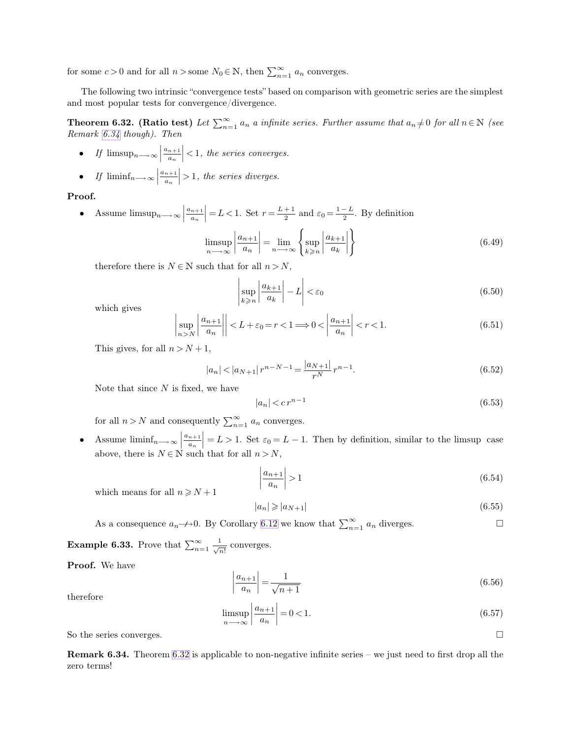<span id="page-7-0"></span>for some  $c > 0$  and for all  $n >$ some  $N_0 \in \mathbb{N}$ , then  $\sum_{n=1}^{\infty} a_n$  converges.

The following two intrinsic "convergence tests" based on comparison with geometric series are the simplest and most popular tests for convergence/divergence.

**Theorem 6.32.** (Ratio test) Let  $\sum_{n=1}^{\infty} a_n$  a infinite series. Further assume that  $a_n \neq 0$  for all  $n \in \mathbb{N}$  (see *Remark [6.34](#page-7-0) though). Then*

- *If*  $\limsup_{n\longrightarrow\infty}$  $a_{n+1}$  $\left|\frac{n+1}{a_n}\right|$  < 1, the series converges.
- *If*  $\liminf_{n\longrightarrow\infty}$  $a_{n+1}$  $\left|\frac{n+1}{a_n}\right| > 1$ , the series diverges.

# **Proof.**

• Assume  $\limsup_{n\longrightarrow\infty}$  $a_{n+1}$  $\left| \frac{n+1}{a_n} \right| = L < 1.$  Set  $r = \frac{L+1}{2}$  $\frac{+1}{2}$  and  $\varepsilon_0 = \frac{1-L}{2}$ . By definition  $\sqrt{ }$  $\mathcal{L}$ 

$$
\limsup_{n \to \infty} \left| \frac{a_{n+1}}{a_n} \right| = \lim_{n \to \infty} \left\{ \sup_{k \ge n} \left| \frac{a_{k+1}}{a_k} \right| \right\}
$$
\n(6.49)

therefore there is  $N \in \mathbb{N}$  such that for all  $n > N$ ,

<span id="page-7-1"></span>
$$
\left|\sup_{k\geqslant n}\left|\frac{a_{k+1}}{a_k}\right| - L\right| < \varepsilon_0 \tag{6.50}
$$

which gives

$$
\left|\sup_{n>N}\left|\frac{a_{n+1}}{a_n}\right|\right| < L + \varepsilon_0 = r < 1 \Longrightarrow 0 < \left|\frac{a_{n+1}}{a_n}\right| < r < 1. \tag{6.51}
$$

This gives, for all  $n > N + 1$ ,

$$
|a_n| < |a_{N+1}| \, r^{n-N-1} = \frac{|a_{N+1}|}{r^N} \, r^{n-1}.\tag{6.52}
$$

Note that since  $N$  is fixed, we have

$$
|a_n| < c \, r^{n-1} \tag{6.53}
$$

for all  $n > N$  and consequently  $\sum_{n=1}^{\infty} a_n$  converges.

• Assume  $\liminf_{n\longrightarrow\infty}$  $a_{n+1}$  $\left|\frac{n+1}{a_n}\right| = L > 1$ . Set  $\varepsilon_0 = L - 1$ . Then by definition, similar to the limsup case above, there is  $N \in \mathbb{N}$  such that for all  $n > N$ ,

$$
\left|\frac{a_{n+1}}{a_n}\right| > 1\tag{6.54}
$$

which means for all  $n \geq N+1$ 

$$
|a_n| \geqslant |a_{N+1}| \tag{6.55}
$$

As a consequence  $a_n \rightarrow 0$ . By Corollary [6.12](#page-2-0) we know that  $\sum_{n=1}^{\infty} a_n$  diverges.

**Example 6.33.** Prove that  $\sum_{n=1}^{\infty} \frac{1}{\sqrt{n}}$  $\frac{1}{\sqrt{n!}}$  converges.

**Proof.** We have

$$
\left| \frac{a_{n+1}}{a_n} \right| = \frac{1}{\sqrt{n+1}} \tag{6.56}
$$

therefore

$$
\limsup_{n \to \infty} \left| \frac{a_{n+1}}{a_n} \right| = 0 < 1. \tag{6.57}
$$

So the series converges.

**Remark 6.34.** Theorem [6.32](#page-7-1) is applicable to non-negative infinite series – we just need to first drop all the zero terms!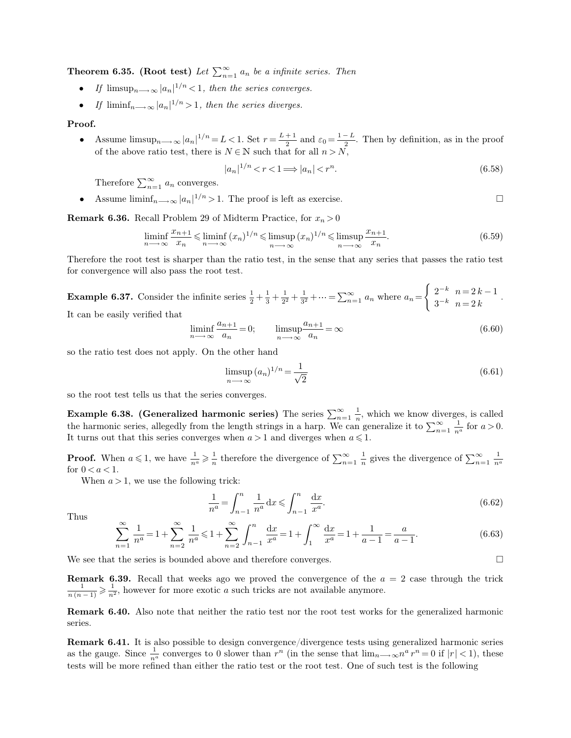**Theorem 6.35. (Root test)** Let  $\sum_{n=1}^{\infty} a_n$  be a infinite series. Then

- *If*  $\limsup_{n \to \infty} |a_n|^{1/n} < 1$ , then the series converges.
- *If*  $\liminf_{n \to \infty} |a_n|^{1/n} > 1$ , then the series diverges.

## **Proof.**

• Assume  $\limsup_{n\longrightarrow\infty} |a_n|^{1/n} = L < 1$ . Set  $r = \frac{L+1}{2}$  $\frac{+1}{2}$  and  $\varepsilon_0 = \frac{1-L}{2}$ . Then by definition, as in the proof of the above ratio test, there is  $N \in \mathbb{N}$  such that for all  $n > N$ ,

$$
|a_n|^{1/n} < r < 1 \Longrightarrow |a_n| < r^n. \tag{6.58}
$$

Therefore  $\sum_{n=1}^{\infty} a_n$  converges.

• Assume  $\liminf_{n\to\infty} |a_n|^{1/n} > 1$ . The proof is left as exercise.

**Remark 6.36.** Recall Problem 29 of Midterm Practice, for  $x_n > 0$ 

$$
\liminf_{n \to \infty} \frac{x_{n+1}}{x_n} \le \liminf_{n \to \infty} (x_n)^{1/n} \le \limsup_{n \to \infty} (x_n)^{1/n} \le \limsup_{n \to \infty} \frac{x_{n+1}}{x_n}.\tag{6.59}
$$

Therefore the root test is sharper than the ratio test, in the sense that any series that passes the ratio test for convergence will also pass the root test.

**Example 6.37.** Consider the infinite series  $\frac{1}{2} + \frac{1}{3}$  $rac{1}{3} + \frac{1}{2^2}$  $\frac{1}{2^2} + \frac{1}{3^2}$  $\frac{1}{3^2} + \cdots = \sum_{n=1}^{\infty} a_n$  where  $a_n =$  $\begin{cases} 2^{-k} & n = 2k - 1 \end{cases}$  $2^{n}$   $n = 2k$   $n = 2k$ 

It can be easily verified that

$$
\liminf_{n \to \infty} \frac{a_{n+1}}{a_n} = 0; \qquad \limsup_{n \to \infty} \frac{a_{n+1}}{a_n} = \infty \tag{6.60}
$$

so the ratio test does not apply. On the other hand

$$
\limsup_{n \to \infty} (a_n)^{1/n} = \frac{1}{\sqrt{2}} \tag{6.61}
$$

so the root test tells us that the series converges.

**Example 6.38. (Generalized harmonic series)** The series  $\sum_{n=1}^{\infty} \frac{1}{n}$ , which we know diverges, is called the harmonic series, allegedly from the length strings in a harp. We can generalize it to  $\sum_{n=1}^{\infty} \frac{1}{n^a}$  for  $a > 0$ . It turns out that this series converges when  $a > 1$  and diverges when  $a \leqslant 1.$ 

**Proof.** When  $a \leq 1$ , we have  $\frac{1}{n^a} \geqslant \frac{1}{n}$ <sup>1</sup>/<sub>n</sub> therefore the divergence of  $\sum_{n=1}^{\infty} \frac{1}{n}$  gives the divergence of  $\sum_{n=1}^{\infty} \frac{1}{n^a}$ for  $0 < a < 1$ .

When  $a > 1$ , we use the following trick:

$$
\frac{1}{n^a} = \int_{n-1}^n \frac{1}{n^a} dx \leqslant \int_{n-1}^n \frac{dx}{x^a}.
$$
\n(6.62)

Thus

$$
\sum_{n=1}^{\infty} \frac{1}{n^a} = 1 + \sum_{n=2}^{\infty} \frac{1}{n^a} \le 1 + \sum_{n=2}^{\infty} \int_{n-1}^n \frac{dx}{x^a} = 1 + \int_1^{\infty} \frac{dx}{x^a} = 1 + \frac{1}{a-1} = \frac{a}{a-1}.
$$
 (6.63)

We see that the series is bounded above and therefore converges.

**Remark 6.39.** Recall that weeks ago we proved the convergence of the  $a = 2$  case through the trick  $\frac{1}{n(n-1)} \geqslant \frac{1}{n^2}$  $\frac{1}{n^2}$ , however for more exotic a such tricks are not available anymore.

**Remark 6.40.** Also note that neither the ratio test nor the root test works for the generalized harmonic series.

**Remark 6.41.** It is also possible to design convergence/divergence tests using generalized harmonic series as the gauge. Since  $\frac{1}{n^a}$  converges to 0 slower than  $r^n$  (in the sense that  $\lim_{n\to\infty} n^a r^n = 0$  if  $|r| < 1$ ), these tests will be more refined than either the ratio test or the root test. One of such test is the following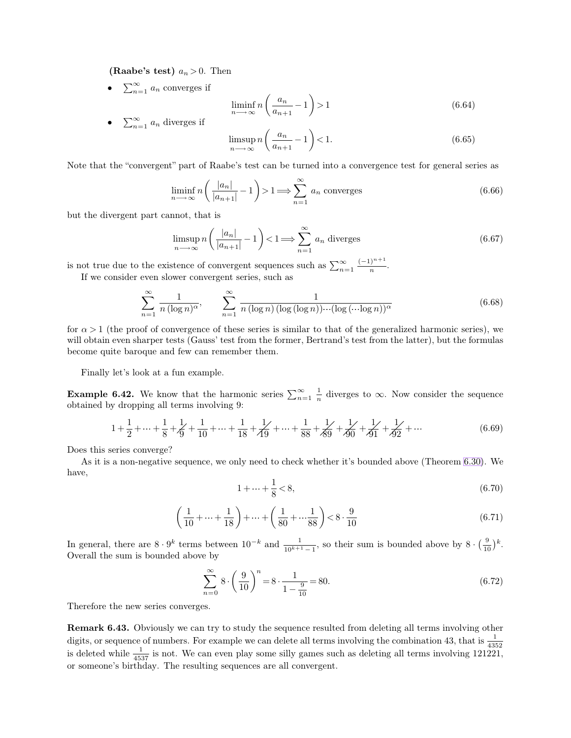**(Raabe's test)**  $a_n > 0$ . Then

•  $\sum_{n=1}^{\infty} a_n$  converges if

$$
\liminf_{n \to \infty} n\left(\frac{a_n}{a_{n+1}} - 1\right) > 1\tag{6.64}
$$

• 
$$
\sum_{n=1}^{\infty} a_n
$$
 diverges if

$$
\limsup_{n \to \infty} n \left( \frac{a_n}{a_{n+1}} - 1 \right) < 1. \tag{6.65}
$$

Note that the "convergent" part of Raabe's test can be turned into a convergence test for general series as

$$
\liminf_{n \to \infty} n\left(\frac{|a_n|}{|a_{n+1}|} - 1\right) > 1 \Longrightarrow \sum_{n=1}^{\infty} a_n \text{ converges}
$$
\n(6.66)

but the divergent part cannot, that is

$$
\limsup_{n \to \infty} n \left( \frac{|a_n|}{|a_{n+1}|} - 1 \right) < 1 \Longrightarrow \sum_{n=1}^{\infty} a_n \text{ diverges} \tag{6.67}
$$

is not true due to the existence of convergent sequences such as  $\sum_{n=1}^{\infty} \frac{(-1)^{n+1}}{n}$ .

If we consider even slower convergent series, such as

$$
\sum_{n=1}^{\infty} \frac{1}{n (\log n)^{\alpha}}, \qquad \sum_{n=1}^{\infty} \frac{1}{n (\log n) (\log (\log n)) \cdots (\log (\cdots \log n))^{\alpha}}
$$
(6.68)

for  $\alpha > 1$  (the proof of convergence of these series is similar to that of the generalized harmonic series), we will obtain even sharper tests (Gauss' test from the former, Bertrand's test from the latter), but the formulas become quite baroque and few can remember them.

Finally let's look at a fun example.

**Example 6.42.** We know that the harmonic series  $\sum_{n=1}^{\infty} \frac{1}{n}$  diverges to  $\infty$ . Now consider the sequence obtained by dropping all terms involving 9:

$$
1 + \frac{1}{2} + \dots + \frac{1}{8} + \frac{1}{9} + \frac{1}{10} + \dots + \frac{1}{18} + \frac{1}{19} + \dots + \frac{1}{88} + \frac{1}{89} + \frac{1}{99} + \frac{1}{91} + \frac{1}{92} + \dots
$$
 (6.69)

Does this series converge?

As it is a non-negative sequence, we only need to check whether it's bounded above (Theorem [6.30\)](#page-6-1). We have,

$$
1 + \dots + \frac{1}{8} < 8,\tag{6.70}
$$

$$
\left(\frac{1}{10} + \dots + \frac{1}{18}\right) + \dots + \left(\frac{1}{80} + \dots + \frac{1}{88}\right) < 8 \cdot \frac{9}{10} \tag{6.71}
$$

In general, there are  $8 \cdot 9^k$  terms between  $10^{-k}$  and  $\frac{1}{10^{k+1}-1}$ , so their sum is bounded above by  $8 \cdot (\frac{9}{10})^k$ . Overall the sum is bounded above by

$$
\sum_{n=0}^{\infty} 8 \cdot \left(\frac{9}{10}\right)^n = 8 \cdot \frac{1}{1 - \frac{9}{10}} = 80. \tag{6.72}
$$

Therefore the new series converges.

**Remark 6.43.** Obviously we can try to study the sequence resulted from deleting all terms involving other digits, or sequence of numbers. For example we can delete all terms involving the combination 43, that is  $\frac{1}{4352}$  is deleted while  $\frac{1}{4537}$  is not. We can even play some silly games such as deleting all terms inv or someone's birthday. The resulting sequences are all convergent.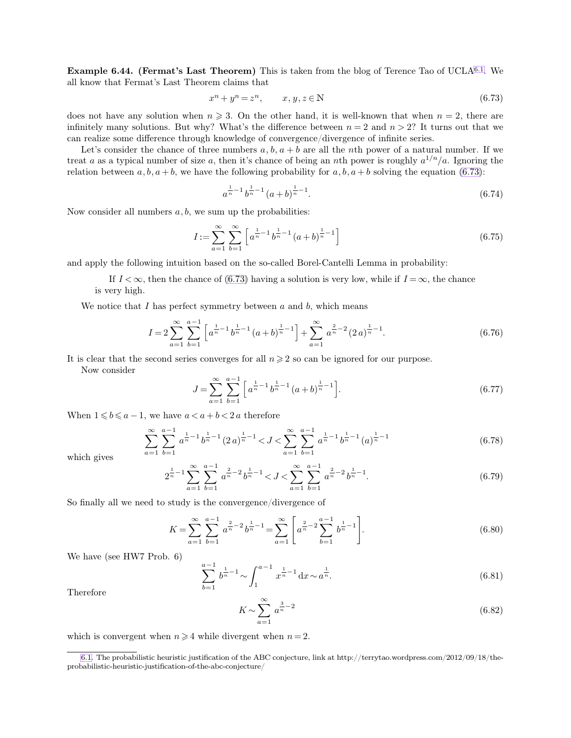**Example 6.44. (Fermat's Last Theorem)** This is taken from the blog of Terence Tao of UCLA6.1. We all know that Fermat's Last Theorem claims that

$$
x^n + y^n = z^n, \qquad x, y, z \in \mathbb{N} \tag{6.73}
$$

does not have any solution when  $n \geq 3$ . On the other hand, it is well-known that when  $n = 2$ , there are infinitely many solutions. But why? What's the difference between  $n = 2$  and  $n > 2$ ? It turns out that we can realize some difference through knowledge of convergence/divergence of infinite series.

Let's consider the chance of three numbers  $a, b, a + b$  are all the nth power of a natural number. If we treat a as a typical number of size a, then it's chance of being an nth power is roughly  $a^{1/n}/a$ . Ignoring the relation between  $a, b, a + b$ , we have the following probability for  $a, b, a + b$  solving the equation [\(6.73\)](#page-10-0):

$$
a^{\frac{1}{n}-1}b^{\frac{1}{n}-1}(a+b)^{\frac{1}{n}-1}.
$$
\n(6.74)

Now consider all numbers  $a, b$ , we sum up the probabilities:

$$
I := \sum_{a=1}^{\infty} \sum_{b=1}^{\infty} \left[ a^{\frac{1}{n}-1} b^{\frac{1}{n}-1} (a+b)^{\frac{1}{n}-1} \right]
$$
(6.75)

and apply the following intuition based on the so-called Borel-Cantelli Lemma in probability:

If  $I < \infty$ , then the chance of [\(6.73\)](#page-10-0) having a solution is very low, while if  $I = \infty$ , the chance is very high.

We notice that  $I$  has perfect symmetry between  $a$  and  $b$ , which means

$$
I = 2\sum_{a=1}^{\infty} \sum_{b=1}^{a-1} \left[ a^{\frac{1}{n}-1} b^{\frac{1}{n}-1} (a+b)^{\frac{1}{n}-1} \right] + \sum_{a=1}^{\infty} a^{\frac{2}{n}-2} (2a)^{\frac{1}{n}-1}.
$$
 (6.76)

It is clear that the second series converges for all  $n \geqslant 2$  so can be ignored for our purpose.

Now consider

$$
J = \sum_{a=1}^{\infty} \sum_{b=1}^{a-1} \left[ a^{\frac{1}{n}-1} b^{\frac{1}{n}-1} (a+b)^{\frac{1}{n}-1} \right].
$$
 (6.77)

When  $1 \leq b \leq a-1$ , we have  $a < a+b < 2a$  therefore

$$
\sum_{a=1}^{\infty} \sum_{b=1}^{a-1} a^{\frac{1}{n}-1} b^{\frac{1}{n}-1} (2a)^{\frac{1}{n}-1} < J < \sum_{a=1}^{\infty} \sum_{b=1}^{a-1} a^{\frac{1}{n}-1} b^{\frac{1}{n}-1} (a)^{\frac{1}{n}-1}
$$
\n
$$
(6.78)
$$

which gives

$$
2^{\frac{1}{n}-1} \sum_{a=1}^{\infty} \sum_{b=1}^{a-1} a^{\frac{2}{n}-2} b^{\frac{1}{n}-1} < J < \sum_{a=1}^{\infty} \sum_{b=1}^{a-1} a^{\frac{2}{n}-2} b^{\frac{1}{n}-1}.
$$
 (6.79)

So finally all we need to study is the convergence/divergence of

$$
K = \sum_{a=1}^{\infty} \sum_{b=1}^{a-1} a^{\frac{2}{n}-2} b^{\frac{1}{n}-1} = \sum_{a=1}^{\infty} \left[ a^{\frac{2}{n}-2} \sum_{b=1}^{a-1} b^{\frac{1}{n}-1} \right].
$$
 (6.80)

We have (see HW7 Prob. 6)

$$
\sum_{b=1}^{a-1} b^{\frac{1}{n}-1} \sim \int_{1}^{a-1} x^{\frac{1}{n}-1} dx \sim a^{\frac{1}{n}}.
$$
\n(6.81)

Therefore

<span id="page-10-1"></span><span id="page-10-0"></span>
$$
K \sim \sum_{a=1}^{\infty} a^{\frac{3}{n}-2} \tag{6.82}
$$

which is convergent when  $n \geq 4$  while divergent when  $n = 2$ .

[<sup>6.1.</sup>](#page-10-1) The probabilistic heuristic justification of the ABC conjecture, link at http://terrytao.wordpress.com/2012/09/18/theprobabilistic-heuristic-justification-of-the-abc-conjecture/